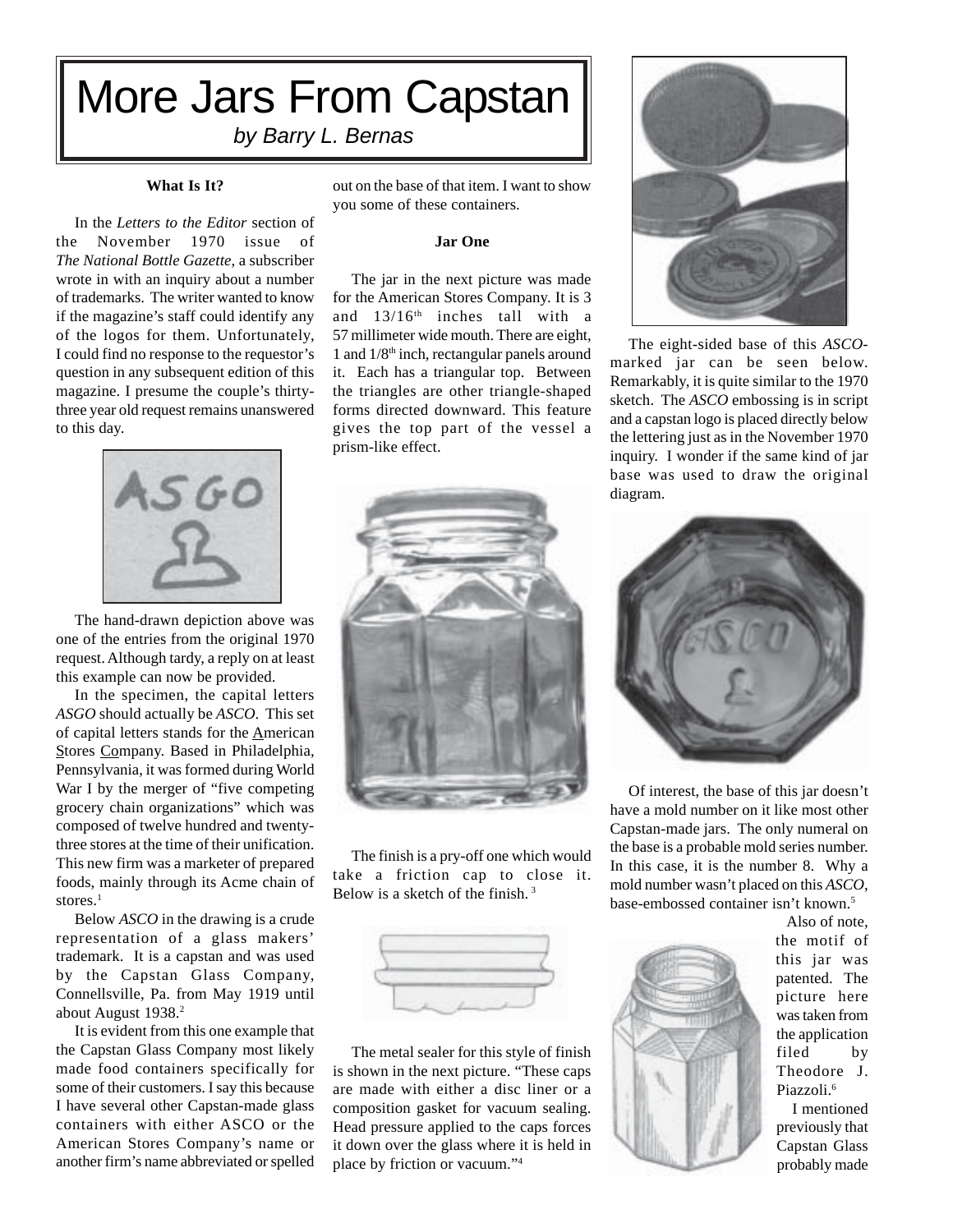# More Jars From Capstan

*by Barry L. Bernas*

## **What Is It?**

In the *Letters to the Editor* section of the November 1970 issue of *The National Bottle Gazette*, a subscriber wrote in with an inquiry about a number of trademarks. The writer wanted to know if the magazine's staff could identify any of the logos for them. Unfortunately, I could find no response to the requestor's question in any subsequent edition of this magazine. I presume the couple's thirtythree year old request remains unanswered to this day.



The hand-drawn depiction above was one of the entries from the original 1970 request. Although tardy, a reply on at least this example can now be provided.

In the specimen, the capital letters *ASGO* should actually be *ASCO*. This set of capital letters stands for the American Stores Company. Based in Philadelphia, Pennsylvania, it was formed during World War I by the merger of "five competing grocery chain organizations" which was composed of twelve hundred and twentythree stores at the time of their unification. This new firm was a marketer of prepared foods, mainly through its Acme chain of stores.<sup>1</sup>

Below *ASCO* in the drawing is a crude representation of a glass makers' trademark. It is a capstan and was used by the Capstan Glass Company, Connellsville, Pa. from May 1919 until about August 1938.<sup>2</sup>

It is evident from this one example that the Capstan Glass Company most likely made food containers specifically for some of their customers. I say this because I have several other Capstan-made glass containers with either ASCO or the American Stores Company's name or another firm's name abbreviated or spelled out on the base of that item. I want to show you some of these containers.

#### **Jar One**

The jar in the next picture was made for the American Stores Company. It is 3 and  $13/16$ <sup>th</sup> inches tall with a 57 millimeter wide mouth. There are eight, 1 and 1/8th inch, rectangular panels around it. Each has a triangular top. Between the triangles are other triangle-shaped forms directed downward. This feature gives the top part of the vessel a prism-like effect.



The finish is a pry-off one which would take a friction cap to close it. Below is a sketch of the finish. 3



The metal sealer for this style of finish is shown in the next picture. "These caps are made with either a disc liner or a composition gasket for vacuum sealing. Head pressure applied to the caps forces it down over the glass where it is held in place by friction or vacuum."4



The eight-sided base of this *ASCO*marked jar can be seen below. Remarkably, it is quite similar to the 1970 sketch. The *ASCO* embossing is in script and a capstan logo is placed directly below the lettering just as in the November 1970 inquiry. I wonder if the same kind of jar base was used to draw the original diagram.



Of interest, the base of this jar doesn't have a mold number on it like most other Capstan-made jars. The only numeral on the base is a probable mold series number. In this case, it is the number 8. Why a mold number wasn't placed on this *ASCO*, base-embossed container isn't known.5



 Also of note, the motif of this jar was patented. The picture here was taken from the application filed by Theodore J. Piazzoli.<sup>6</sup>

 I mentioned previously that Capstan Glass probably made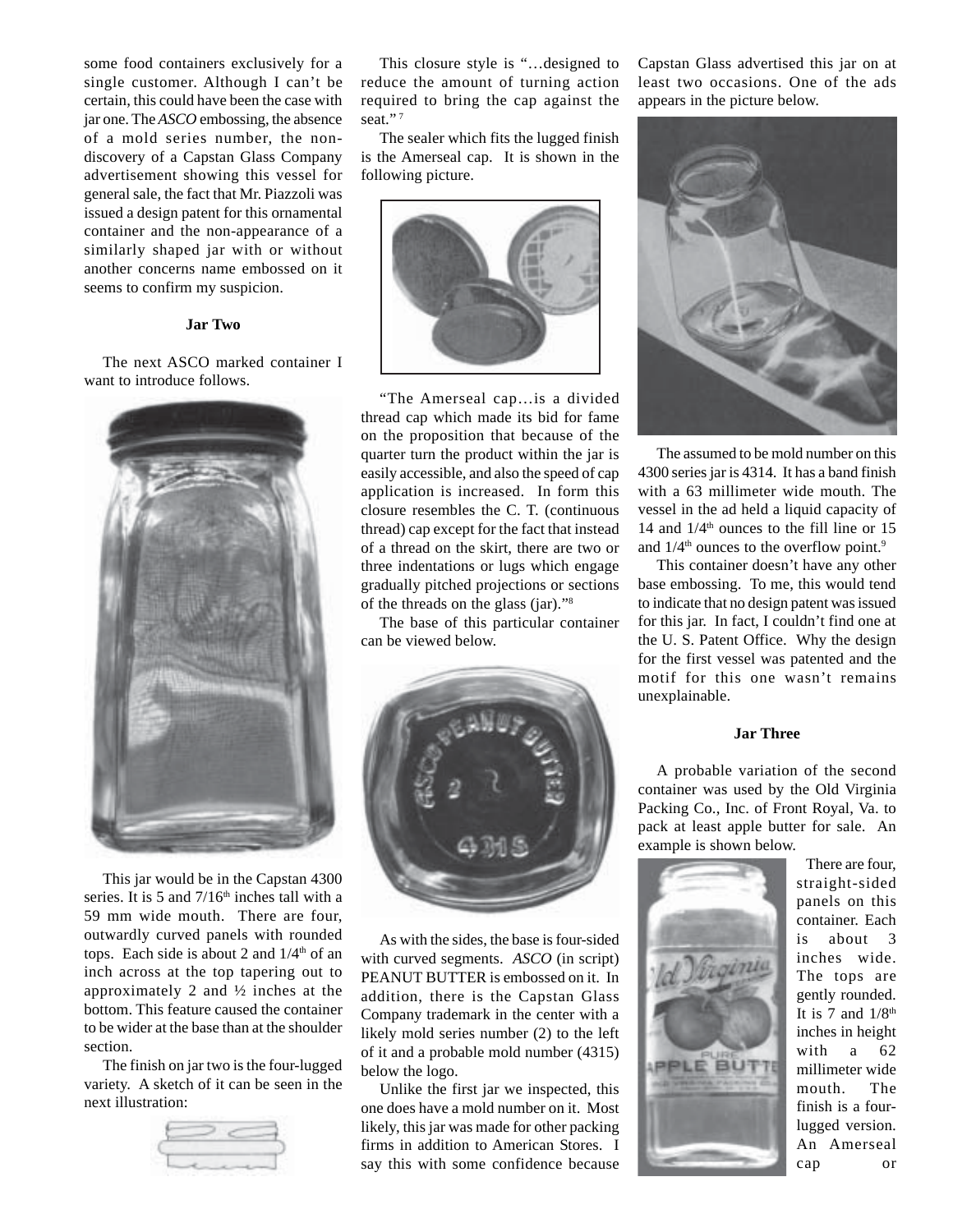some food containers exclusively for a single customer. Although I can't be certain, this could have been the case with jar one. The *ASCO* embossing, the absence of a mold series number, the nondiscovery of a Capstan Glass Company advertisement showing this vessel for general sale, the fact that Mr. Piazzoli was issued a design patent for this ornamental container and the non-appearance of a similarly shaped jar with or without another concerns name embossed on it seems to confirm my suspicion.

# **Jar Two**

The next ASCO marked container I want to introduce follows.



This jar would be in the Capstan 4300 series. It is 5 and 7/16<sup>th</sup> inches tall with a 59 mm wide mouth. There are four, outwardly curved panels with rounded tops. Each side is about 2 and  $1/4<sup>th</sup>$  of an inch across at the top tapering out to approximately 2 and ½ inches at the bottom. This feature caused the container to be wider at the base than at the shoulder section.

The finish on jar two is the four-lugged variety. A sketch of it can be seen in the next illustration:



This closure style is "…designed to reduce the amount of turning action required to bring the cap against the seat."<sup>7</sup>

The sealer which fits the lugged finish is the Amerseal cap. It is shown in the following picture.



"The Amerseal cap…is a divided thread cap which made its bid for fame on the proposition that because of the quarter turn the product within the jar is easily accessible, and also the speed of cap application is increased. In form this closure resembles the C. T. (continuous thread) cap except for the fact that instead of a thread on the skirt, there are two or three indentations or lugs which engage gradually pitched projections or sections of the threads on the glass (jar)."8

The base of this particular container can be viewed below.



As with the sides, the base is four-sided with curved segments. *ASCO* (in script) PEANUT BUTTER is embossed on it. In addition, there is the Capstan Glass Company trademark in the center with a likely mold series number (2) to the left of it and a probable mold number (4315) below the logo.

Unlike the first jar we inspected, this one does have a mold number on it. Most likely, this jar was made for other packing firms in addition to American Stores. I say this with some confidence because Capstan Glass advertised this jar on at least two occasions. One of the ads appears in the picture below.



The assumed to be mold number on this 4300 series jar is 4314. It has a band finish with a 63 millimeter wide mouth. The vessel in the ad held a liquid capacity of 14 and  $1/4$ <sup>th</sup> ounces to the fill line or 15 and  $1/4<sup>th</sup>$  ounces to the overflow point.<sup>9</sup>

This container doesn't have any other base embossing. To me, this would tend to indicate that no design patent was issued for this jar. In fact, I couldn't find one at the U. S. Patent Office. Why the design for the first vessel was patented and the motif for this one wasn't remains unexplainable.

#### **Jar Three**

A probable variation of the second container was used by the Old Virginia Packing Co., Inc. of Front Royal, Va. to pack at least apple butter for sale. An example is shown below.



There are four, straight-sided panels on this container. Each is about 3 inches wide. The tops are gently rounded. It is 7 and  $1/8<sup>th</sup>$ inches in height with a 62 millimeter wide mouth. The finish is a fourlugged version. An Amerseal cap or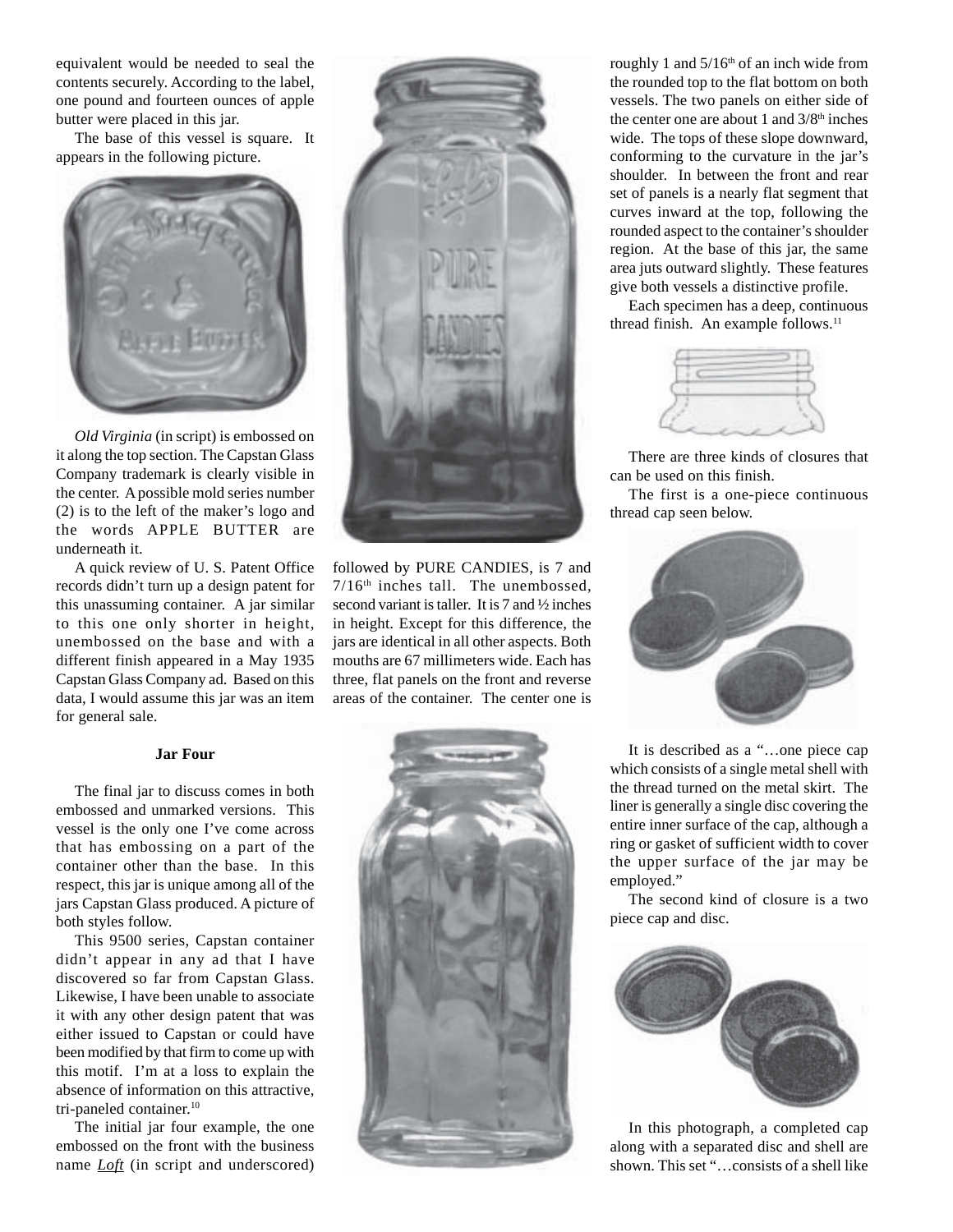equivalent would be needed to seal the contents securely. According to the label, one pound and fourteen ounces of apple butter were placed in this jar.

The base of this vessel is square. It appears in the following picture.



*Old Virginia* (in script) is embossed on it along the top section. The Capstan Glass Company trademark is clearly visible in the center. A possible mold series number (2) is to the left of the maker's logo and the words APPLE BUTTER are underneath it.

A quick review of U. S. Patent Office records didn't turn up a design patent for this unassuming container. A jar similar to this one only shorter in height, unembossed on the base and with a different finish appeared in a May 1935 Capstan Glass Company ad. Based on this data, I would assume this jar was an item for general sale.

## **Jar Four**

The final jar to discuss comes in both embossed and unmarked versions. This vessel is the only one I've come across that has embossing on a part of the container other than the base. In this respect, this jar is unique among all of the jars Capstan Glass produced. A picture of both styles follow.

This 9500 series, Capstan container didn't appear in any ad that I have discovered so far from Capstan Glass. Likewise, I have been unable to associate it with any other design patent that was either issued to Capstan or could have been modified by that firm to come up with this motif. I'm at a loss to explain the absence of information on this attractive, tri-paneled container.<sup>10</sup>

The initial jar four example, the one embossed on the front with the business name *Loft* (in script and underscored)



followed by PURE CANDIES, is 7 and  $7/16<sup>th</sup>$  inches tall. The unembossed, second variant is taller. It is 7 and ½ inches in height. Except for this difference, the jars are identical in all other aspects. Both mouths are 67 millimeters wide. Each has three, flat panels on the front and reverse areas of the container. The center one is



roughly 1 and  $5/16<sup>th</sup>$  of an inch wide from the rounded top to the flat bottom on both vessels. The two panels on either side of the center one are about 1 and  $3/8<sup>th</sup>$  inches wide. The tops of these slope downward, conforming to the curvature in the jar's shoulder. In between the front and rear set of panels is a nearly flat segment that curves inward at the top, following the rounded aspect to the container's shoulder region. At the base of this jar, the same area juts outward slightly. These features give both vessels a distinctive profile.

Each specimen has a deep, continuous thread finish. An example follows.<sup>11</sup>



There are three kinds of closures that can be used on this finish.

The first is a one-piece continuous thread cap seen below.



It is described as a "…one piece cap which consists of a single metal shell with the thread turned on the metal skirt. The liner is generally a single disc covering the entire inner surface of the cap, although a ring or gasket of sufficient width to cover the upper surface of the jar may be employed."

The second kind of closure is a two piece cap and disc.



In this photograph, a completed cap along with a separated disc and shell are shown. This set "…consists of a shell like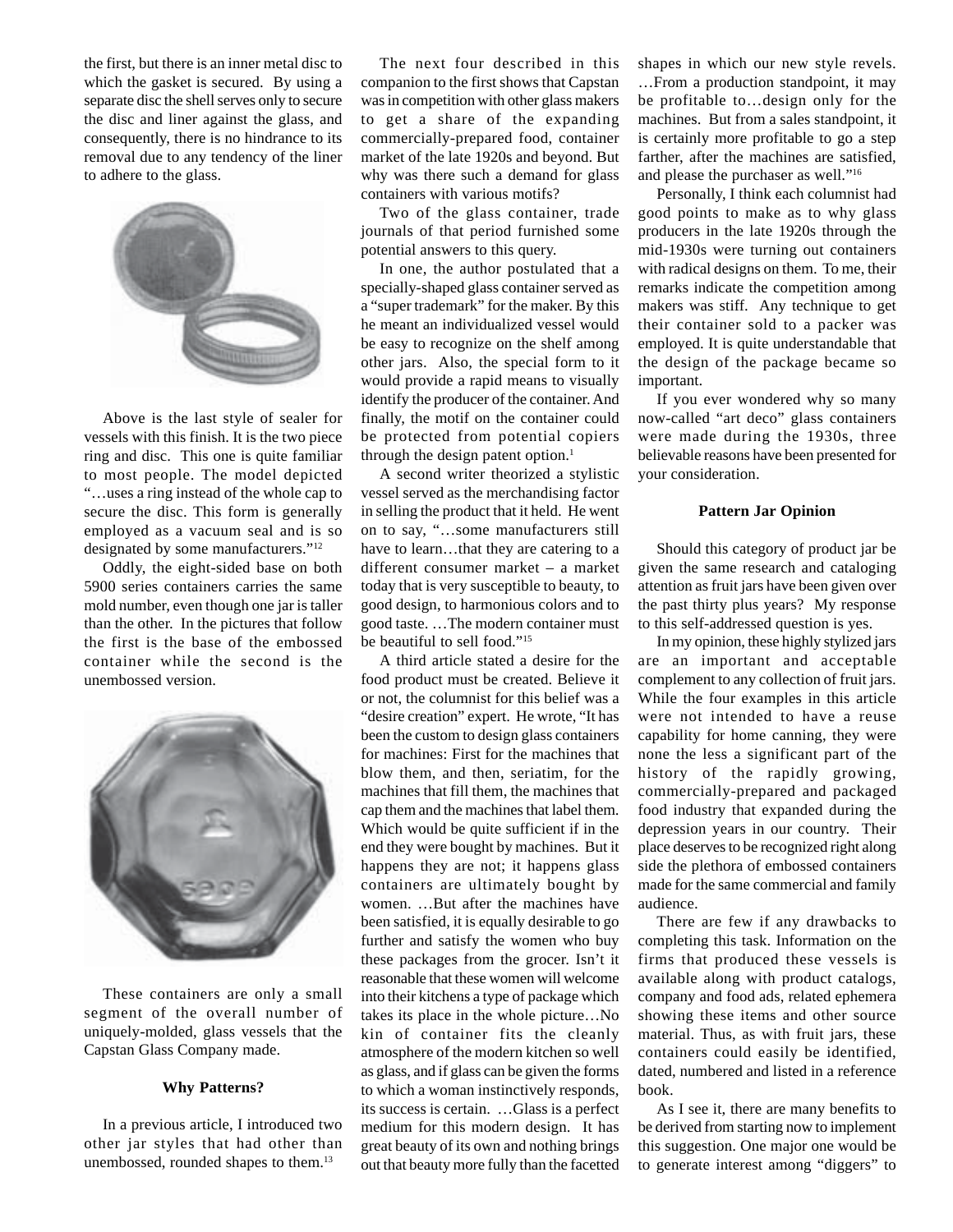the first, but there is an inner metal disc to which the gasket is secured. By using a separate disc the shell serves only to secure the disc and liner against the glass, and consequently, there is no hindrance to its removal due to any tendency of the liner to adhere to the glass.



Above is the last style of sealer for vessels with this finish. It is the two piece ring and disc. This one is quite familiar to most people. The model depicted "…uses a ring instead of the whole cap to secure the disc. This form is generally employed as a vacuum seal and is so designated by some manufacturers."12

Oddly, the eight-sided base on both 5900 series containers carries the same mold number, even though one jar is taller than the other. In the pictures that follow the first is the base of the embossed container while the second is the unembossed version.



These containers are only a small segment of the overall number of uniquely-molded, glass vessels that the Capstan Glass Company made.

### **Why Patterns?**

In a previous article, I introduced two other jar styles that had other than unembossed, rounded shapes to them.<sup>13</sup>

The next four described in this companion to the first shows that Capstan was in competition with other glass makers to get a share of the expanding commercially-prepared food, container market of the late 1920s and beyond. But why was there such a demand for glass containers with various motifs?

Two of the glass container, trade journals of that period furnished some potential answers to this query.

In one, the author postulated that a specially-shaped glass container served as a "super trademark" for the maker. By this he meant an individualized vessel would be easy to recognize on the shelf among other jars. Also, the special form to it would provide a rapid means to visually identify the producer of the container. And finally, the motif on the container could be protected from potential copiers through the design patent option. $<sup>1</sup>$ </sup>

A second writer theorized a stylistic vessel served as the merchandising factor in selling the product that it held. He went on to say, "…some manufacturers still have to learn…that they are catering to a different consumer market – a market today that is very susceptible to beauty, to good design, to harmonious colors and to good taste. …The modern container must be beautiful to sell food."15

A third article stated a desire for the food product must be created. Believe it or not, the columnist for this belief was a "desire creation" expert. He wrote, "It has been the custom to design glass containers for machines: First for the machines that blow them, and then, seriatim, for the machines that fill them, the machines that cap them and the machines that label them. Which would be quite sufficient if in the end they were bought by machines. But it happens they are not; it happens glass containers are ultimately bought by women. …But after the machines have been satisfied, it is equally desirable to go further and satisfy the women who buy these packages from the grocer. Isn't it reasonable that these women will welcome into their kitchens a type of package which takes its place in the whole picture…No kin of container fits the cleanly atmosphere of the modern kitchen so well as glass, and if glass can be given the forms to which a woman instinctively responds, its success is certain. …Glass is a perfect medium for this modern design. It has great beauty of its own and nothing brings out that beauty more fully than the facetted

shapes in which our new style revels. …From a production standpoint, it may be profitable to…design only for the machines. But from a sales standpoint, it is certainly more profitable to go a step farther, after the machines are satisfied, and please the purchaser as well."16

Personally, I think each columnist had good points to make as to why glass producers in the late 1920s through the mid-1930s were turning out containers with radical designs on them. To me, their remarks indicate the competition among makers was stiff. Any technique to get their container sold to a packer was employed. It is quite understandable that the design of the package became so important.

If you ever wondered why so many now-called "art deco" glass containers were made during the 1930s, three believable reasons have been presented for your consideration.

## **Pattern Jar Opinion**

Should this category of product jar be given the same research and cataloging attention as fruit jars have been given over the past thirty plus years? My response to this self-addressed question is yes.

In my opinion, these highly stylized jars are an important and acceptable complement to any collection of fruit jars. While the four examples in this article were not intended to have a reuse capability for home canning, they were none the less a significant part of the history of the rapidly growing, commercially-prepared and packaged food industry that expanded during the depression years in our country. Their place deserves to be recognized right along side the plethora of embossed containers made for the same commercial and family audience.

There are few if any drawbacks to completing this task. Information on the firms that produced these vessels is available along with product catalogs, company and food ads, related ephemera showing these items and other source material. Thus, as with fruit jars, these containers could easily be identified, dated, numbered and listed in a reference book.

As I see it, there are many benefits to be derived from starting now to implement this suggestion. One major one would be to generate interest among "diggers" to